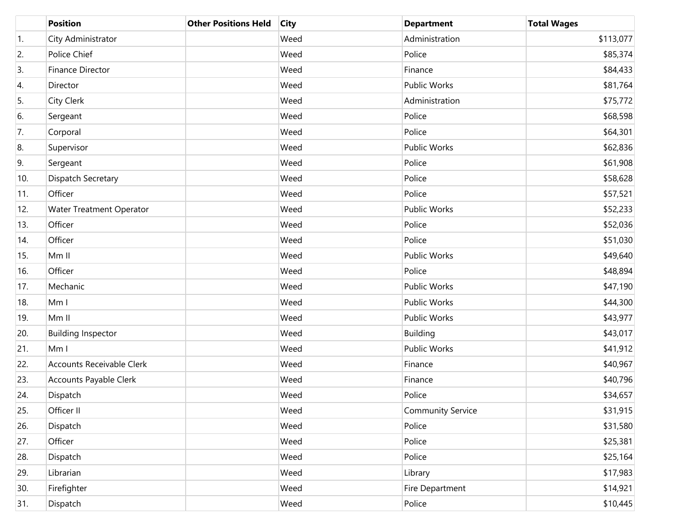|     | <b>Position</b>                 | <b>Other Positions Held</b> | <b>City</b> | <b>Department</b>        | <b>Total Wages</b> |
|-----|---------------------------------|-----------------------------|-------------|--------------------------|--------------------|
| 1.  | City Administrator              |                             | Weed        | Administration           | \$113,077          |
| 2.  | Police Chief                    |                             | Weed        | Police                   | \$85,374           |
| 3.  | Finance Director                |                             | Weed        | Finance                  | \$84,433           |
| 4.  | Director                        |                             | Weed        | <b>Public Works</b>      | \$81,764           |
| 5.  | City Clerk                      |                             | Weed        | Administration           | \$75,772           |
| 6.  | Sergeant                        |                             | Weed        | Police                   | \$68,598           |
| 7.  | Corporal                        |                             | Weed        | Police                   | \$64,301           |
| 8.  | Supervisor                      |                             | Weed        | <b>Public Works</b>      | \$62,836           |
| 9.  | Sergeant                        |                             | Weed        | Police                   | \$61,908           |
| 10. | Dispatch Secretary              |                             | Weed        | Police                   | \$58,628           |
| 11. | Officer                         |                             | Weed        | Police                   | \$57,521           |
| 12. | <b>Water Treatment Operator</b> |                             | Weed        | <b>Public Works</b>      | \$52,233           |
| 13. | Officer                         |                             | Weed        | Police                   | \$52,036           |
| 14. | Officer                         |                             | Weed        | Police                   | \$51,030           |
| 15. | Mm II                           |                             | Weed        | Public Works             | \$49,640           |
| 16. | Officer                         |                             | Weed        | Police                   | \$48,894           |
| 17. | Mechanic                        |                             | Weed        | <b>Public Works</b>      | \$47,190           |
| 18. | Mm I                            |                             | Weed        | <b>Public Works</b>      | \$44,300           |
| 19. | Mm II                           |                             | Weed        | Public Works             | \$43,977           |
| 20. | <b>Building Inspector</b>       |                             | Weed        | Building                 | \$43,017           |
| 21. | Mm I                            |                             | Weed        | <b>Public Works</b>      | \$41,912           |
| 22. | Accounts Receivable Clerk       |                             | Weed        | Finance                  | \$40,967           |
| 23. | Accounts Payable Clerk          |                             | Weed        | Finance                  | \$40,796           |
| 24. | Dispatch                        |                             | Weed        | Police                   | \$34,657           |
| 25. | Officer II                      |                             | Weed        | <b>Community Service</b> | \$31,915           |
| 26. | Dispatch                        |                             | Weed        | Police                   | \$31,580           |
| 27. | Officer                         |                             | Weed        | Police                   | \$25,381           |
| 28. | Dispatch                        |                             | Weed        | Police                   | \$25,164           |
| 29. | Librarian                       |                             | Weed        | Library                  | \$17,983           |
| 30. | Firefighter                     |                             | Weed        | Fire Department          | \$14,921           |
| 31. | Dispatch                        |                             | Weed        | Police                   | \$10,445           |